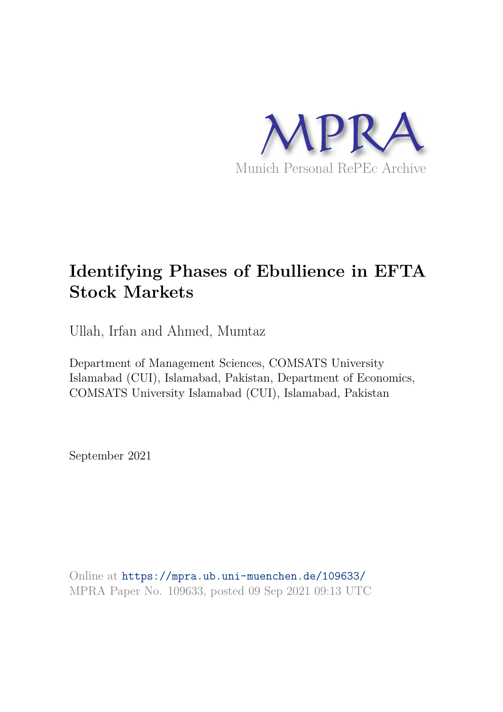

# **Identifying Phases of Ebullience in EFTA Stock Markets**

Ullah, Irfan and Ahmed, Mumtaz

Department of Management Sciences, COMSATS University Islamabad (CUI), Islamabad, Pakistan, Department of Economics, COMSATS University Islamabad (CUI), Islamabad, Pakistan

September 2021

Online at https://mpra.ub.uni-muenchen.de/109633/ MPRA Paper No. 109633, posted 09 Sep 2021 09:13 UTC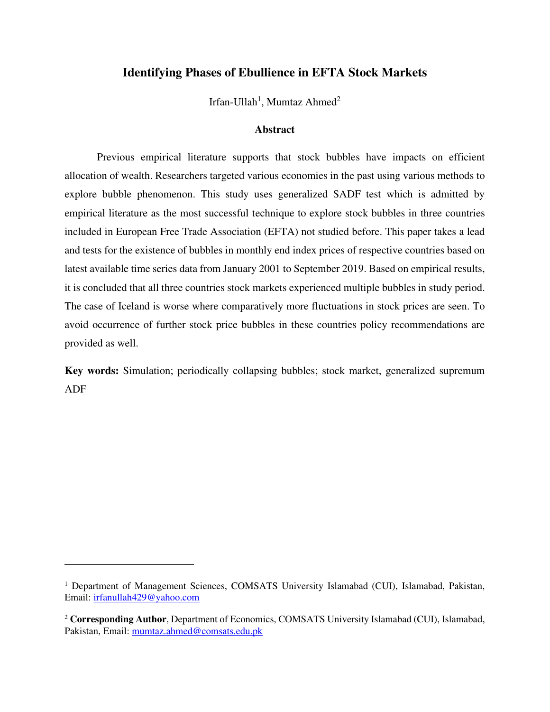# **Identifying Phases of Ebullience in EFTA Stock Markets**

Irfan-Ullah<sup>1</sup>, Mumtaz Ahmed<sup>2</sup>

# **Abstract**

Previous empirical literature supports that stock bubbles have impacts on efficient allocation of wealth. Researchers targeted various economies in the past using various methods to explore bubble phenomenon. This study uses generalized SADF test which is admitted by empirical literature as the most successful technique to explore stock bubbles in three countries included in European Free Trade Association (EFTA) not studied before. This paper takes a lead and tests for the existence of bubbles in monthly end index prices of respective countries based on latest available time series data from January 2001 to September 2019. Based on empirical results, it is concluded that all three countries stock markets experienced multiple bubbles in study period. The case of Iceland is worse where comparatively more fluctuations in stock prices are seen. To avoid occurrence of further stock price bubbles in these countries policy recommendations are provided as well.

**Key words:** Simulation; periodically collapsing bubbles; stock market, generalized supremum ADF

<sup>&</sup>lt;sup>1</sup> Department of Management Sciences, COMSATS University Islamabad (CUI), Islamabad, Pakistan, Email: [irfanullah429@yahoo.com](mailto:irfanullah429@yahoo.com)

<sup>2</sup> **Corresponding Author**, Department of Economics, COMSATS University Islamabad (CUI), Islamabad, Pakistan, Email: [mumtaz.ahmed@comsats.edu.pk](mailto:mumtaz.ahmed@comsats.edu.pk)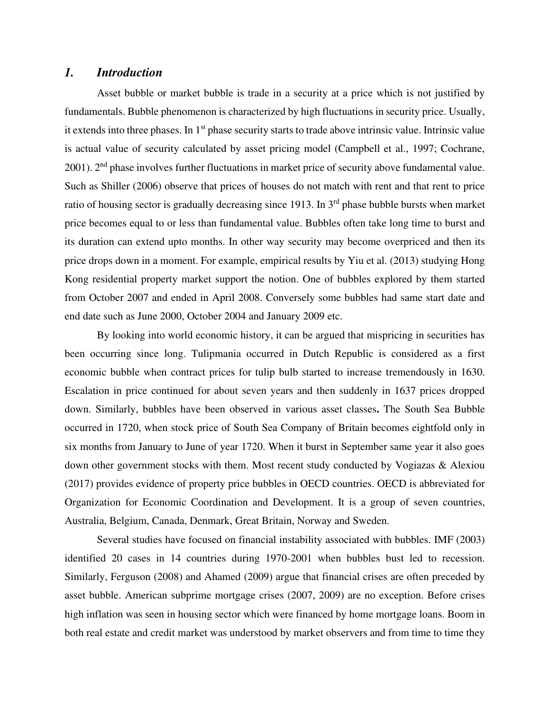# *1. Introduction*

Asset bubble or market bubble is trade in a security at a price which is not justified by fundamentals. Bubble phenomenon is characterized by high fluctuations in security price. Usually, it extends into three phases. In 1<sup>st</sup> phase security starts to trade above intrinsic value. Intrinsic value is actual value of security calculated by asset pricing model (Campbell et al., 1997; Cochrane, 2001). 2<sup>nd</sup> phase involves further fluctuations in market price of security above fundamental value. Such as Shiller (2006) observe that prices of houses do not match with rent and that rent to price ratio of housing sector is gradually decreasing since 1913. In  $3<sup>rd</sup>$  phase bubble bursts when market price becomes equal to or less than fundamental value. Bubbles often take long time to burst and its duration can extend upto months. In other way security may become overpriced and then its price drops down in a moment. For example, empirical results by Yiu et al. (2013) studying Hong Kong residential property market support the notion. One of bubbles explored by them started from October 2007 and ended in April 2008. Conversely some bubbles had same start date and end date such as June 2000, October 2004 and January 2009 etc.

By looking into world economic history, it can be argued that mispricing in securities has been occurring since long. [Tulipmania](https://en.wikipedia.org/wiki/Tulipmania) occurred in Dutch Republic is considered as a first economic bubble when contract prices for tulip bulb started to increase tremendously in 1630. Escalation in price continued for about seven years and then suddenly in 1637 prices dropped down. Similarly, bubbles have been observed in various asset classes**.** The South Sea Bubble occurred in 1720, when stock price of South Sea Company of Britain becomes eightfold only in six months from January to June of year 1720. When it burst in September same year it also goes down other government stocks with them. Most recent study conducted by Vogiazas & Alexiou (2017) provides evidence of property price bubbles in OECD countries. OECD is abbreviated for Organization for Economic Coordination and Development. It is a group of seven countries, Australia, Belgium, Canada, Denmark, Great Britain, Norway and Sweden.

Several studies have focused on financial instability associated with bubbles. IMF (2003) identified 20 cases in 14 countries during 1970-2001 when bubbles bust led to recession. Similarly, Ferguson (2008) and Ahamed (2009) argue that financial crises are often preceded by asset bubble. American subprime mortgage crises (2007, 2009) are no exception. Before crises high inflation was seen in housing sector which were financed by home mortgage loans. Boom in both real estate and credit market was understood by market observers and from time to time they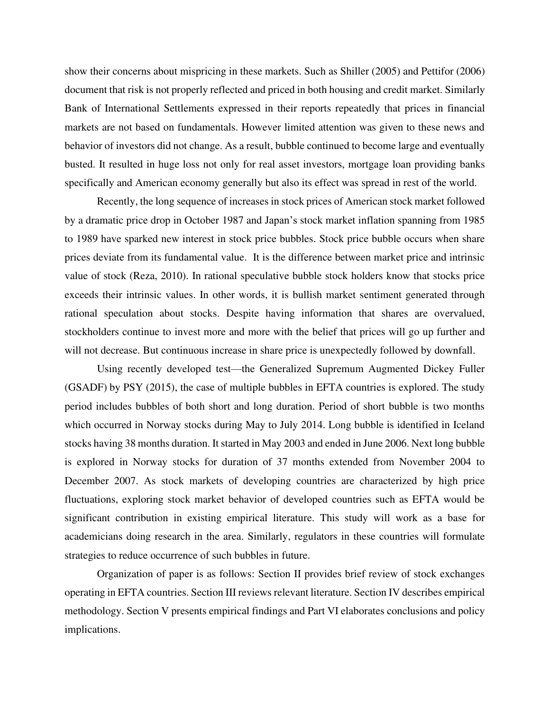show their concerns about mispricing in these markets. Such as Shiller (2005) and Pettifor (2006) document that risk is not properly reflected and priced in both housing and credit market. Similarly Bank of International Settlements expressed in their reports repeatedly that prices in financial markets are not based on fundamentals. However limited attention was given to these news and behavior of investors did not change. As a result, bubble continued to become large and eventually busted. It resulted in huge loss not only for real asset investors, mortgage loan providing banks specifically and American economy generally but also its effect was spread in rest of the world.

Recently, the long sequence of increases in stock prices of American stock market followed by a dramatic price drop in October 1987 and Japan's stock market inflation spanning from 1985 to 1989 have sparked new interest in stock price bubbles. Stock price bubble occurs when share prices deviate from its fundamental value. It is the difference between market price and intrinsic value of stock (Reza, 2010). In rational speculative bubble stock holders know that stocks price exceeds their intrinsic values. In other words, it is bullish market sentiment generated through rational speculation about stocks. Despite having information that shares are overvalued, stockholders continue to invest more and more with the belief that prices will go up further and will not decrease. But continuous increase in share price is unexpectedly followed by downfall.

Using recently developed test—the Generalized Supremum Augmented Dickey Fuller (GSADF) by PSY (2015), the case of multiple bubbles in EFTA countries is explored. The study period includes bubbles of both short and long duration. Period of short bubble is two months which occurred in Norway stocks during May to July 2014. Long bubble is identified in Iceland stocks having 38 months duration. It started in May 2003 and ended in June 2006. Next long bubble is explored in Norway stocks for duration of 37 months extended from November 2004 to December 2007. As stock markets of developing countries are characterized by high price fluctuations, exploring stock market behavior of developed countries such as EFTA would be significant contribution in existing empirical literature. This study will work as a base for academicians doing research in the area. Similarly, regulators in these countries will formulate strategies to reduce occurrence of such bubbles in future.

Organization of paper is as follows: Section II provides brief review of stock exchanges operating in EFTA countries. Section III reviews relevant literature. Section IV describes empirical methodology. Section V presents empirical findings and Part VI elaborates conclusions and policy implications.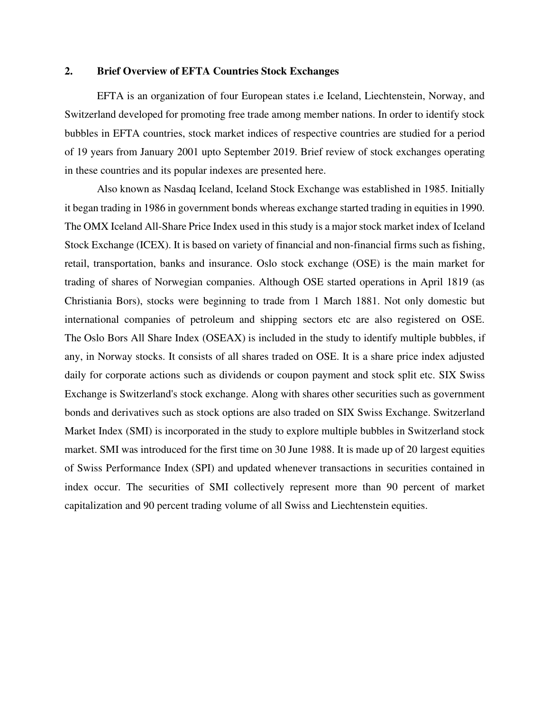# **2. Brief Overview of EFTA Countries Stock Exchanges**

EFTA is an organization of four European states i.e Iceland, Liechtenstein, Norway, and Switzerland developed for promoting free trade among member nations. In order to identify stock bubbles in EFTA countries, stock market indices of respective countries are studied for a period of 19 years from January 2001 upto September 2019. Brief review of stock exchanges operating in these countries and its popular indexes are presented here.

Also known as Nasdaq Iceland, Iceland Stock Exchange was established in 1985. Initially it began trading in 1986 in government bonds whereas exchange started trading in equities in 1990. The OMX Iceland All-Share Price Index used in this study is a major stock market index of Iceland Stock Exchange (ICEX). It is based on variety of financial and non-financial firms such as fishing, retail, transportation, banks and insurance. Oslo stock exchange (OSE) is the main market for trading of shares of Norwegian companies. Although OSE started operations in April 1819 (as Christiania Bors), stocks were beginning to trade from 1 March 1881. Not only domestic but international companies of petroleum and shipping sectors etc are also registered on OSE. The Oslo Bors All Share Index (OSEAX) is included in the study to identify multiple bubbles, if any, in Norway stocks. It consists of all shares traded on OSE. It is a share price index adjusted daily for corporate actions such as dividends or coupon payment and stock split etc. SIX Swiss Exchange is [Switzerland's](https://en.wikipedia.org/wiki/Switzerland) [stock exchange.](https://en.wikipedia.org/wiki/Stock_exchange) Along with shares other securities such as government bonds and derivatives such as stock options are also traded on SIX Swiss Exchange. Switzerland Market Index (SMI) is incorporated in the study to explore multiple bubbles in Switzerland stock market. SMI was introduced for the first time on 30 June 1988. It is made up of 20 largest equities of [Swiss Performance Index](https://en.wikipedia.org/wiki/Swiss_Performance_Index) (SPI) and updated whenever transactions in securities contained in index occur. The securities of SMI collectively represent more than 90 percent of market capitalization and 90 percent trading volume of all Swiss and Liechtenstein equities.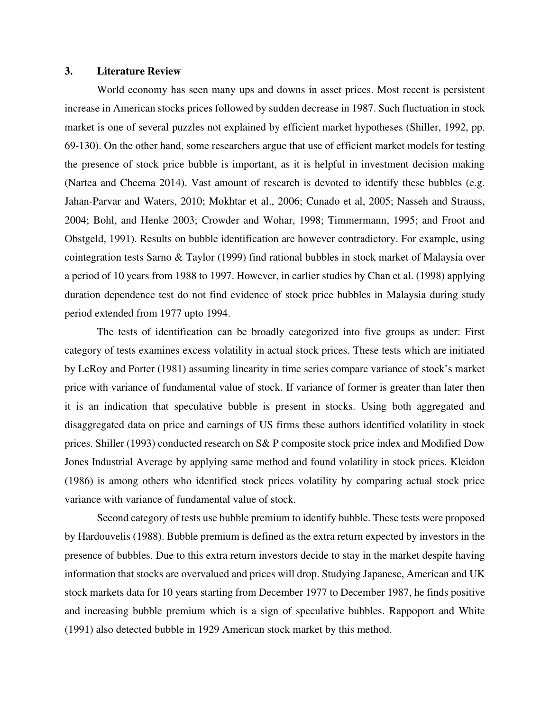# **3. Literature Review**

World economy has seen many ups and downs in asset prices. Most recent is persistent increase in American stocks prices followed by sudden decrease in 1987. Such fluctuation in stock market is one of several puzzles not explained by efficient market hypotheses (Shiller, 1992, pp. 69-130). On the other hand, some researchers argue that use of efficient market models for testing the presence of stock price bubble is important, as it is helpful in investment decision making (Nartea and Cheema 2014). Vast amount of research is devoted to identify these bubbles (e.g. Jahan-Parvar and Waters, 2010; Mokhtar et al., 2006; Cunado et al, 2005; Nasseh and Strauss, 2004; Bohl, and Henke 2003; Crowder and Wohar, 1998; Timmermann, 1995; and Froot and Obstgeld, 1991). Results on bubble identification are however contradictory. For example, using cointegration tests Sarno & Taylor (1999) find rational bubbles in stock market of Malaysia over a period of 10 years from 1988 to 1997. However, in earlier studies by Chan et al. (1998) applying duration dependence test do not find evidence of stock price bubbles in Malaysia during study period extended from 1977 upto 1994.

The tests of identification can be broadly categorized into five groups as under: First category of tests examines excess volatility in actual stock prices. These tests which are initiated by LeRoy and Porter (1981) assuming linearity in time series compare variance of stock's market price with variance of fundamental value of stock. If variance of former is greater than later then it is an indication that speculative bubble is present in stocks. Using both aggregated and disaggregated data on price and earnings of US firms these authors identified volatility in stock prices. Shiller (1993) conducted research on S& P composite stock price index and Modified Dow Jones Industrial Average by applying same method and found volatility in stock prices. Kleidon (1986) is among others who identified stock prices volatility by comparing actual stock price variance with variance of fundamental value of stock.

Second category of tests use bubble premium to identify bubble. These tests were proposed by Hardouvelis (1988). Bubble premium is defined as the extra return expected by investors in the presence of bubbles. Due to this extra return investors decide to stay in the market despite having information that stocks are overvalued and prices will drop. Studying Japanese, American and UK stock markets data for 10 years starting from December 1977 to December 1987, he finds positive and increasing bubble premium which is a sign of speculative bubbles. Rappoport and White (1991) also detected bubble in 1929 American stock market by this method.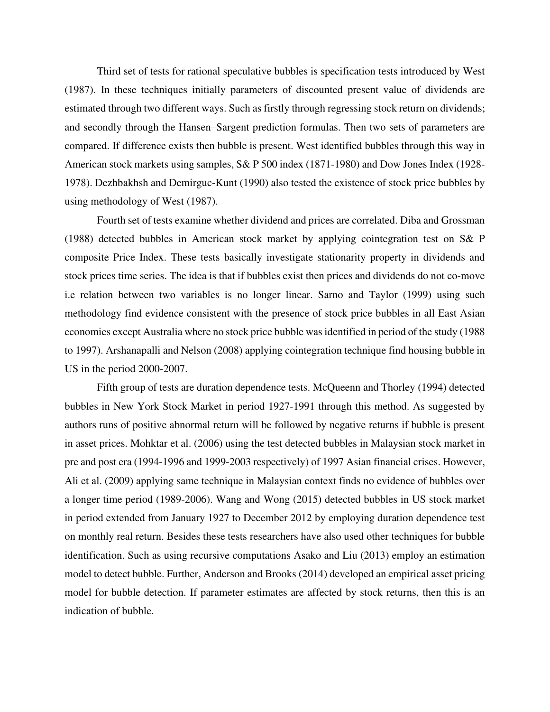Third set of tests for rational speculative bubbles is specification tests introduced by West (1987). In these techniques initially parameters of discounted present value of dividends are estimated through two different ways. Such as firstly through regressing stock return on dividends; and secondly through the Hansen–Sargent prediction formulas. Then two sets of parameters are compared. If difference exists then bubble is present. West identified bubbles through this way in American stock markets using samples, S& P 500 index (1871-1980) and Dow Jones Index (1928- 1978). Dezhbakhsh and Demirguc-Kunt (1990) also tested the existence of stock price bubbles by using methodology of West (1987).

Fourth set of tests examine whether dividend and prices are correlated. Diba and Grossman (1988) detected bubbles in American stock market by applying cointegration test on S& P composite Price Index. These tests basically investigate stationarity property in dividends and stock prices time series. The idea is that if bubbles exist then prices and dividends do not co-move i.e relation between two variables is no longer linear. Sarno and Taylor (1999) using such methodology find evidence consistent with the presence of stock price bubbles in all East Asian economies except Australia where no stock price bubble was identified in period of the study (1988 to 1997). Arshanapalli and Nelson (2008) applying cointegration technique find housing bubble in US in the period 2000-2007.

Fifth group of tests are duration dependence tests. McQueenn and Thorley (1994) detected bubbles in New York Stock Market in period 1927-1991 through this method. As suggested by authors runs of positive abnormal return will be followed by negative returns if bubble is present in asset prices. Mohktar et al. (2006) using the test detected bubbles in Malaysian stock market in pre and post era (1994-1996 and 1999-2003 respectively) of 1997 Asian financial crises. However, Ali et al. (2009) applying same technique in Malaysian context finds no evidence of bubbles over a longer time period (1989-2006). Wang and Wong (2015) detected bubbles in US stock market in period extended from January 1927 to December 2012 by employing duration dependence test on monthly real return. Besides these tests researchers have also used other techniques for bubble identification. Such as using recursive computations Asako and Liu (2013) employ an estimation model to detect bubble. Further, Anderson and Brooks (2014) developed an empirical asset pricing model for bubble detection. If parameter estimates are affected by stock returns, then this is an indication of bubble.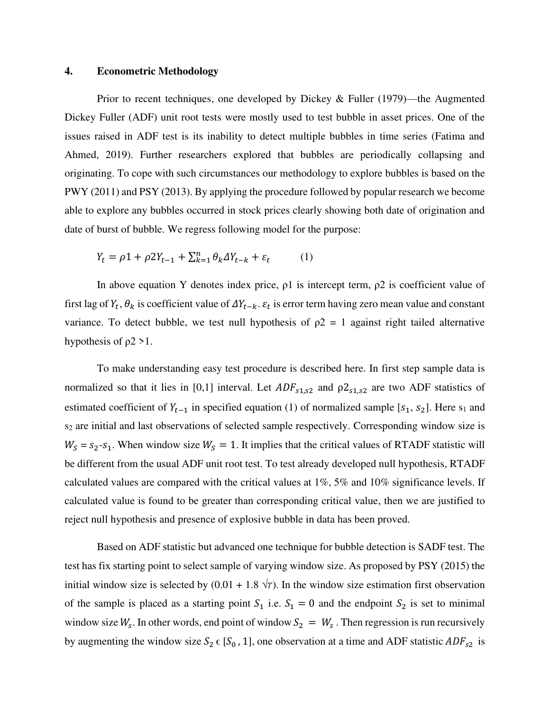#### **4. Econometric Methodology**

Prior to recent techniques, one developed by Dickey & Fuller (1979)—the Augmented Dickey Fuller (ADF) unit root tests were mostly used to test bubble in asset prices. One of the issues raised in ADF test is its inability to detect multiple bubbles in time series (Fatima and Ahmed, 2019). Further researchers explored that bubbles are periodically collapsing and originating. To cope with such circumstances our methodology to explore bubbles is based on the PWY (2011) and PSY (2013). By applying the procedure followed by popular research we become able to explore any bubbles occurred in stock prices clearly showing both date of origination and date of burst of bubble. We regress following model for the purpose:

$$
Y_t = \rho 1 + \rho 2Y_{t-1} + \sum_{k=1}^n \theta_k \Delta Y_{t-k} + \varepsilon_t \tag{1}
$$

In above equation Y denotes index price,  $\rho$ 1 is intercept term,  $\rho$ 2 is coefficient value of first lag of  $Y_t$ ,  $\theta_k$  is coefficient value of  $\Delta Y_{t-k}$ .  $\varepsilon_t$  is error term having zero mean value and constant variance. To detect bubble, we test null hypothesis of  $\rho$ 2 = 1 against right tailed alternative hypothesis of  $\rho$ 2 > 1.

To make understanding easy test procedure is described here. In first step sample data is normalized so that it lies in [0,1] interval. Let  $ADF_{s1,s2}$  and  $\rho2_{s1,s2}$  are two ADF statistics of estimated coefficient of  $Y_{t-1}$  in specified equation (1) of normalized sample [ $s_1, s_2$ ]. Here  $s_1$  and s<sub>2</sub> are initial and last observations of selected sample respectively. Corresponding window size is  $W_s = s_2 - s_1$ . When window size  $W_s = 1$ . It implies that the critical values of RTADF statistic will be different from the usual ADF unit root test. To test already developed null hypothesis, RTADF calculated values are compared with the critical values at 1%, 5% and 10% significance levels. If calculated value is found to be greater than corresponding critical value, then we are justified to reject null hypothesis and presence of explosive bubble in data has been proved.

Based on ADF statistic but advanced one technique for bubble detection is SADF test. The test has fix starting point to select sample of varying window size. As proposed by PSY (2015) the initial window size is selected by  $(0.01 + 1.8 \sqrt{T})$ . In the window size estimation first observation of the sample is placed as a starting point  $S_1$  i.e.  $S_1 = 0$  and the endpoint  $S_2$  is set to minimal window size  $W_s$ . In other words, end point of window  $S_2 = W_s$ . Then regression is run recursively by augmenting the window size  $S_2 \in [S_0, 1]$ , one observation at a time and ADF statistic  $ADF_{s2}$  is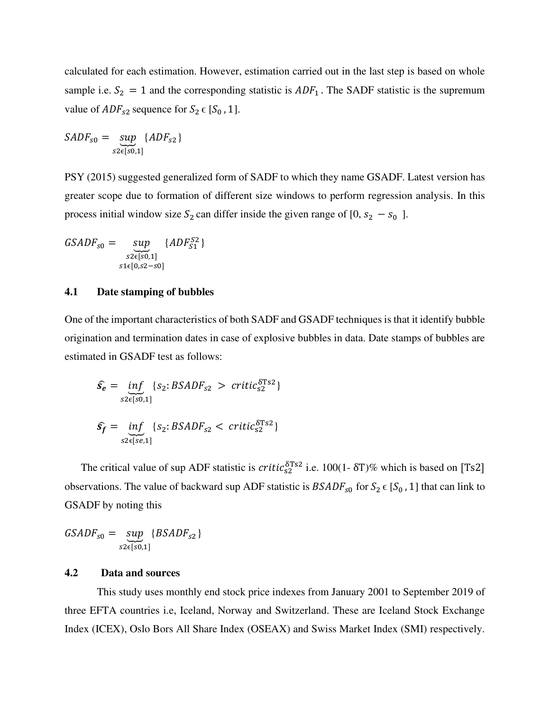calculated for each estimation. However, estimation carried out in the last step is based on whole sample i.e.  $S_2 = 1$  and the corresponding statistic is  $ADF_1$ . The SADF statistic is the supremum value of  $ADF_{s2}$  sequence for  $S_2 \in [S_0, 1]$ .

$$
SADF_{s0} = \sup_{s2 \in [s0,1]} \{ADF_{s2}\}
$$

PSY (2015) suggested generalized form of SADF to which they name GSADF. Latest version has greater scope due to formation of different size windows to perform regression analysis. In this process initial window size  $S_2$  can differ inside the given range of [0,  $s_2 - s_0$ ].

$$
GSADF_{s0} = \sup_{\substack{s2 \in [s0,1] \\ s1 \in [0,s2-s0]}} \{ADF_{s1}^{S2}\}
$$

# **4.1 Date stamping of bubbles**

One of the important characteristics of both SADF and GSADF techniques is that it identify bubble origination and termination dates in case of explosive bubbles in data. Date stamps of bubbles are estimated in GSADF test as follows:

$$
\hat{s_e} = \underbrace{\inf_{s2 \in [s0,1]}} \{ s_2 : BSADF_{s2} > \text{critic}_{s2}^{\delta \text{TS2}} \}
$$
\n
$$
\hat{s_f} = \underbrace{\inf_{s2 \in [se,1]}} \{ s_2 : BSADF_{s2} < \text{critic}_{s2}^{\delta \text{TS2}} \}
$$

The critical value of sup ADF statistic is  $critic_{s2}^{0.0152}$  i.e. 100(1-  $\delta$ T)% which is based on [Ts2] observations. The value of backward sup ADF statistic is  $BSADF_{s0}$  for  $S_2 \in [S_0, 1]$  that can link to GSADF by noting this

 $GSADF_{s0} = \underline{sup}$  $s2\epsilon[s0,1]$  $\{BSADF_{s2}\}$ 

#### **4.2 Data and sources**

This study uses monthly end stock price indexes from January 2001 to September 2019 of three EFTA countries i.e, Iceland, Norway and Switzerland. These are Iceland Stock Exchange Index (ICEX), Oslo Bors All Share Index (OSEAX) and Swiss Market Index (SMI) respectively.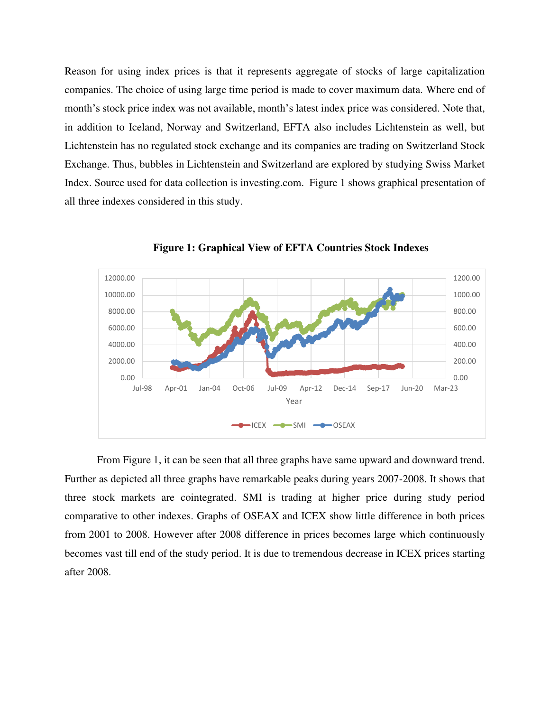Reason for using index prices is that it represents aggregate of stocks of large capitalization companies. The choice of using large time period is made to cover maximum data. Where end of month's stock price index was not available, month's latest index price was considered. Note that, in addition to Iceland, Norway and Switzerland, EFTA also includes Lichtenstein as well, but Lichtenstein has no regulated stock exchange and its companies are trading on Switzerland Stock Exchange. Thus, bubbles in Lichtenstein and Switzerland are explored by studying Swiss Market Index. Source used for data collection is investing.com. Figure 1 shows graphical presentation of all three indexes considered in this study.



**Figure 1: Graphical View of EFTA Countries Stock Indexes**

From Figure 1, it can be seen that all three graphs have same upward and downward trend. Further as depicted all three graphs have remarkable peaks during years 2007-2008. It shows that three stock markets are cointegrated. SMI is trading at higher price during study period comparative to other indexes. Graphs of OSEAX and ICEX show little difference in both prices from 2001 to 2008. However after 2008 difference in prices becomes large which continuously becomes vast till end of the study period. It is due to tremendous decrease in ICEX prices starting after 2008.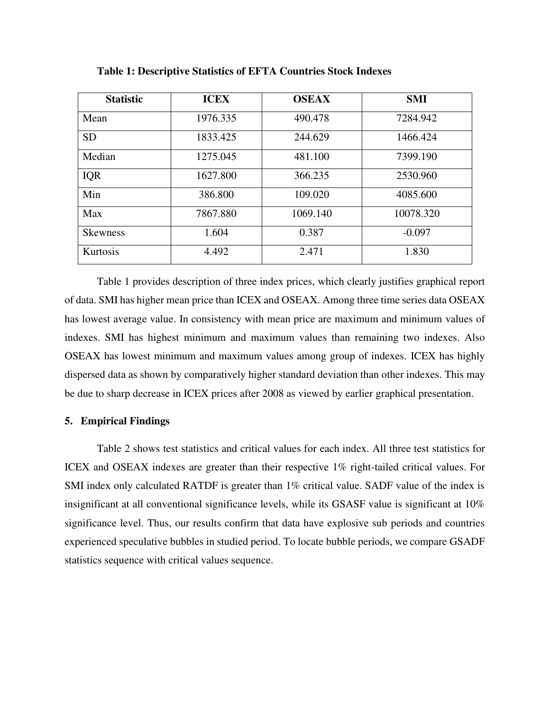| <b>Statistic</b> | <b>ICEX</b> | <b>OSEAX</b> | <b>SMI</b> |
|------------------|-------------|--------------|------------|
| Mean             | 1976.335    | 490.478      | 7284.942   |
| <b>SD</b>        | 1833.425    | 244.629      | 1466.424   |
| Median           | 1275.045    | 481.100      | 7399.190   |
| <b>IQR</b>       | 1627.800    | 366.235      | 2530.960   |
| Min              | 386.800     | 109.020      | 4085.600   |
| Max              | 7867.880    | 1069.140     | 10078.320  |
| <b>Skewness</b>  | 1.604       | 0.387        | $-0.097$   |
| Kurtosis         | 4.492       | 2.471        | 1.830      |

**Table 1: Descriptive Statistics of EFTA Countries Stock Indexes**

Table 1 provides description of three index prices, which clearly justifies graphical report of data. SMI has higher mean price than ICEX and OSEAX. Among three time series data OSEAX has lowest average value. In consistency with mean price are maximum and minimum values of indexes. SMI has highest minimum and maximum values than remaining two indexes. Also OSEAX has lowest minimum and maximum values among group of indexes. ICEX has highly dispersed data as shown by comparatively higher standard deviation than other indexes. This may be due to sharp decrease in ICEX prices after 2008 as viewed by earlier graphical presentation.

# **5. Empirical Findings**

Table 2 shows test statistics and critical values for each index. All three test statistics for ICEX and OSEAX indexes are greater than their respective 1% right-tailed critical values. For SMI index only calculated RATDF is greater than 1% critical value. SADF value of the index is insignificant at all conventional significance levels, while its GSASF value is significant at 10% significance level. Thus, our results confirm that data have explosive sub periods and countries experienced speculative bubbles in studied period. To locate bubble periods, we compare GSADF statistics sequence with critical values sequence.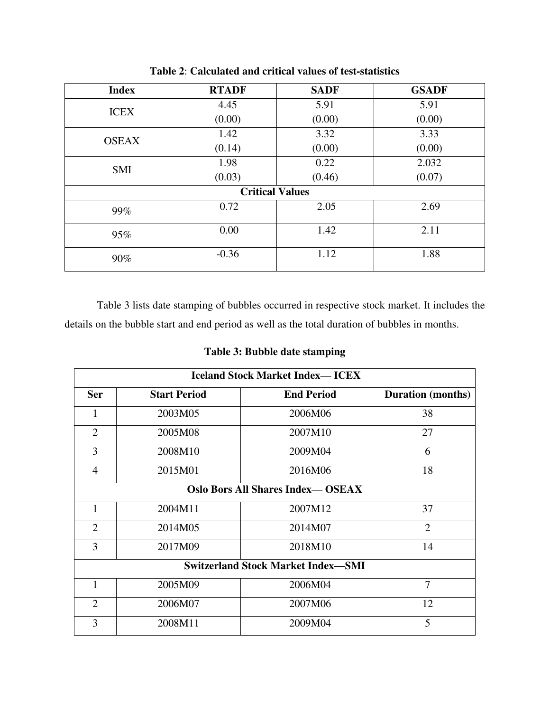| <b>Index</b>           | <b>RTADF</b> | <b>SADF</b> | <b>GSADF</b> |  |  |  |
|------------------------|--------------|-------------|--------------|--|--|--|
| <b>ICEX</b>            | 4.45         | 5.91        | 5.91         |  |  |  |
|                        | (0.00)       | (0.00)      | (0.00)       |  |  |  |
| <b>OSEAX</b>           | 1.42         | 3.32        | 3.33         |  |  |  |
|                        | (0.14)       | (0.00)      | (0.00)       |  |  |  |
| <b>SMI</b>             | 1.98         | 0.22        | 2.032        |  |  |  |
|                        | (0.03)       | (0.46)      | (0.07)       |  |  |  |
| <b>Critical Values</b> |              |             |              |  |  |  |
| 99%                    | 0.72         | 2.05        | 2.69         |  |  |  |
| 95%                    | 0.00         | 1.42        | 2.11         |  |  |  |
| 90%                    | $-0.36$      | 1.12        | 1.88         |  |  |  |

**Table 2**: **Calculated and critical values of test-statistics**

Table 3 lists date stamping of bubbles occurred in respective stock market. It includes the details on the bubble start and end period as well as the total duration of bubbles in months.

**Table 3: Bubble date stamping** 

| <b>Iceland Stock Market Index—ICEX</b>    |                     |                   |                          |  |  |  |
|-------------------------------------------|---------------------|-------------------|--------------------------|--|--|--|
| <b>Ser</b>                                | <b>Start Period</b> | <b>End Period</b> | <b>Duration</b> (months) |  |  |  |
| 1                                         | 2003M05             | 2006M06           | 38                       |  |  |  |
| $\overline{2}$                            | 2005M08             | 2007M10           | 27                       |  |  |  |
| 3                                         | 2008M10             | 2009M04           | 6                        |  |  |  |
| 4                                         | 2015M01             | 2016M06           | 18                       |  |  |  |
| <b>Oslo Bors All Shares Index— OSEAX</b>  |                     |                   |                          |  |  |  |
| 1                                         | 2004M11             | 2007M12           | 37                       |  |  |  |
| $\overline{2}$                            | 2014M05             | 2014M07           | $\overline{2}$           |  |  |  |
| 3                                         | 2017M09             | 2018M10           | 14                       |  |  |  |
| <b>Switzerland Stock Market Index-SMI</b> |                     |                   |                          |  |  |  |
| $\mathbf{1}$                              | 2005M09             | 2006M04           | 7                        |  |  |  |
| $\overline{2}$                            | 2006M07             | 2007M06           | 12                       |  |  |  |
| 3                                         | 2008M11             | 2009M04           | 5                        |  |  |  |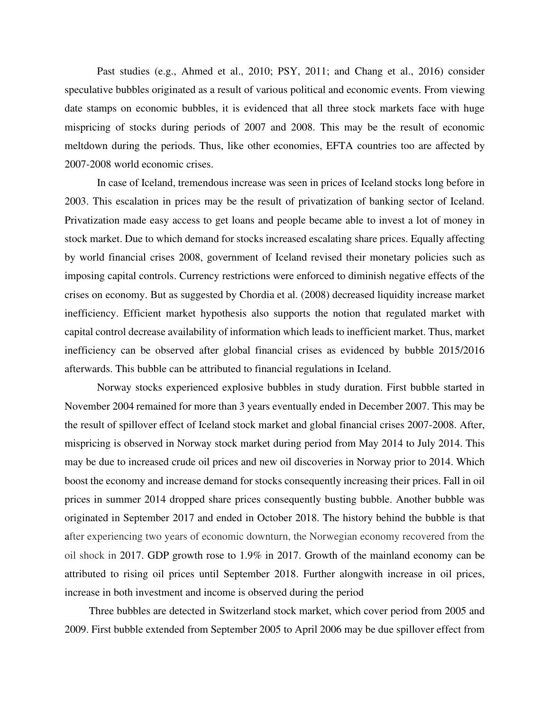Past studies (e.g., Ahmed et al., 2010; PSY, 2011; and Chang et al., 2016) consider speculative bubbles originated as a result of various political and economic events. From viewing date stamps on economic bubbles, it is evidenced that all three stock markets face with huge mispricing of stocks during periods of 2007 and 2008. This may be the result of economic meltdown during the periods. Thus, like other economies, EFTA countries too are affected by 2007-2008 world economic crises.

In case of Iceland, tremendous increase was seen in prices of Iceland stocks long before in 2003. This escalation in prices may be the result of privatization of banking sector of Iceland. Privatization made easy access to get loans and people became able to invest a lot of money in stock market. Due to which demand for stocks increased escalating share prices. Equally affecting by world financial crises 2008, government of Iceland revised their monetary policies such as imposing capital controls. Currency restrictions were enforced to diminish negative effects of the crises on economy. But as suggested by Chordia et al. (2008) decreased liquidity increase market inefficiency. Efficient market hypothesis also supports the notion that regulated market with capital control decrease availability of information which leads to inefficient market. Thus, market inefficiency can be observed after global financial crises as evidenced by bubble 2015/2016 afterwards. This bubble can be attributed to financial regulations in Iceland.

Norway stocks experienced explosive bubbles in study duration. First bubble started in November 2004 remained for more than 3 years eventually ended in December 2007. This may be the result of spillover effect of Iceland stock market and global financial crises 2007-2008. After, mispricing is observed in Norway stock market during period from May 2014 to July 2014. This may be due to increased crude oil prices and new oil discoveries in Norway prior to 2014. Which boost the economy and increase demand for stocks consequently increasing their prices. Fall in oil prices in summer 2014 dropped share prices consequently busting bubble. Another bubble was originated in September 2017 and ended in October 2018. The history behind the bubble is that after experiencing two years of economic downturn, the Norwegian economy recovered from the oil shock in 2017. GDP growth rose to 1.9% in 2017. Growth of the mainland economy can be attributed to rising oil prices until September 2018. Further alongwith increase in oil prices, increase in both investment and income is observed during the period

Three bubbles are detected in Switzerland stock market, which cover period from 2005 and 2009. First bubble extended from September 2005 to April 2006 may be due spillover effect from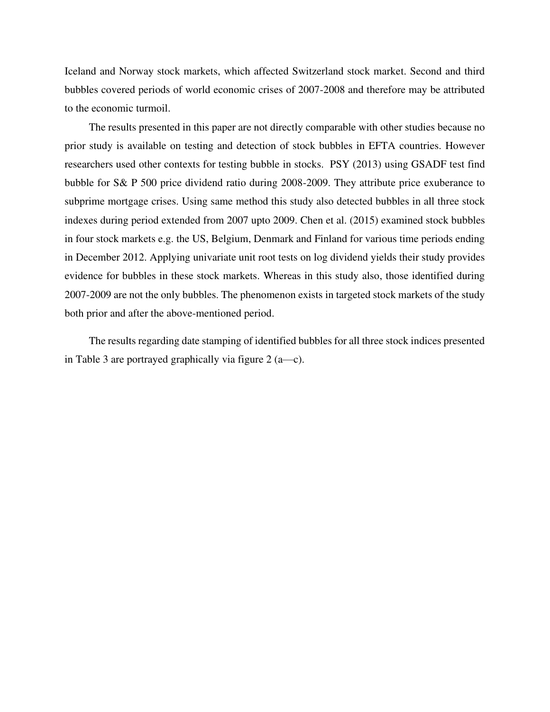Iceland and Norway stock markets, which affected Switzerland stock market. Second and third bubbles covered periods of world economic crises of 2007-2008 and therefore may be attributed to the economic turmoil.

The results presented in this paper are not directly comparable with other studies because no prior study is available on testing and detection of stock bubbles in EFTA countries. However researchers used other contexts for testing bubble in stocks. PSY (2013) using GSADF test find bubble for S& P 500 price dividend ratio during 2008-2009. They attribute price exuberance to subprime mortgage crises. Using same method this study also detected bubbles in all three stock indexes during period extended from 2007 upto 2009. Chen et al. (2015) examined stock bubbles in four stock markets e.g. the US, Belgium, Denmark and Finland for various time periods ending in December 2012. Applying univariate unit root tests on log dividend yields their study provides evidence for bubbles in these stock markets. Whereas in this study also, those identified during 2007-2009 are not the only bubbles. The phenomenon exists in targeted stock markets of the study both prior and after the above-mentioned period.

The results regarding date stamping of identified bubbles for all three stock indices presented in Table 3 are portrayed graphically via figure  $2(a\rightarrow c)$ .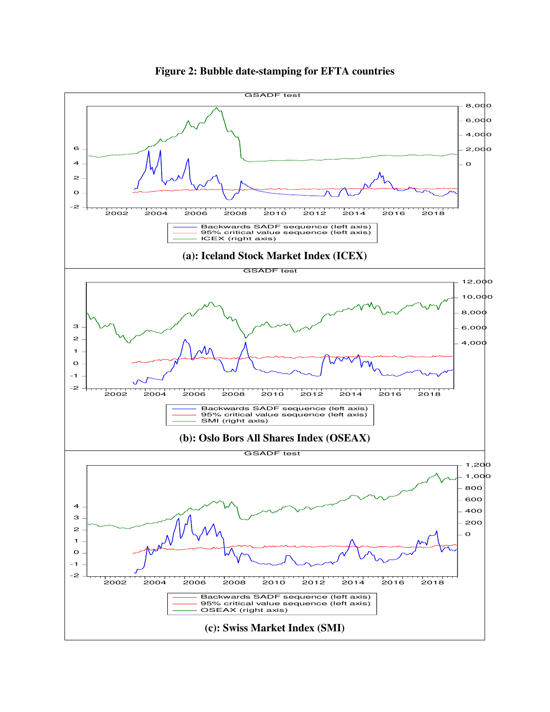

**Figure 2: Bubble date-stamping for EFTA countries**